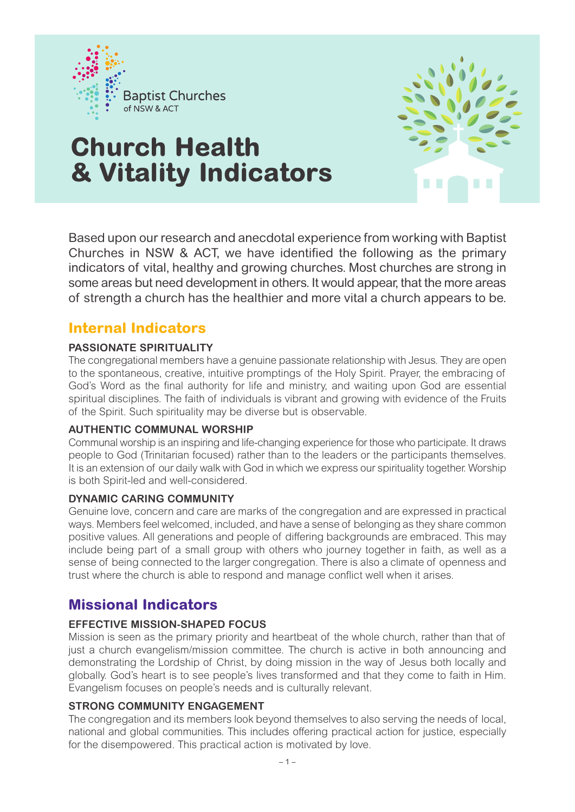

# **Church Health & Vitality Indicators**



Based upon our research and anecdotal experience from working with Baptist Churches in NSW & ACT, we have identified the following as the primary indicators of vital, healthy and growing churches. Most churches are strong in some areas but need development in others. It would appear, that the more areas of strength a church has the healthier and more vital a church appears to be.

## **Internal Indicators**

#### **PASSIONATE SPIRITUALITY**

The congregational members have a genuine passionate relationship with Jesus. They are open to the spontaneous, creative, intuitive promptings of the Holy Spirit. Prayer, the embracing of God's Word as the final authority for life and ministry, and waiting upon God are essential spiritual disciplines. The faith of individuals is vibrant and growing with evidence of the Fruits of the Spirit. Such spirituality may be diverse but is observable.

#### **AUTHENTIC COMMUNAL WORSHIP**

Communal worship is an inspiring and life-changing experience for those who participate. It draws people to God (Trinitarian focused) rather than to the leaders or the participants themselves. It is an extension of our daily walk with God in which we express our spirituality together. Worship is both Spirit-led and well-considered.

#### **DYNAMIC CARING COMMUNITY**

Genuine love, concern and care are marks of the congregation and are expressed in practical ways. Members feel welcomed, included, and have a sense of belonging as they share common positive values. All generations and people of differing backgrounds are embraced. This may include being part of a small group with others who journey together in faith, as well as a sense of being connected to the larger congregation. There is also a climate of openness and trust where the church is able to respond and manage conflict well when it arises.

# **Missional Indicators**

#### **EFFECTIVE MISSION-SHAPED FOCUS**

Mission is seen as the primary priority and heartbeat of the whole church, rather than that of just a church evangelism/mission committee. The church is active in both announcing and demonstrating the Lordship of Christ, by doing mission in the way of Jesus both locally and globally. God's heart is to see people's lives transformed and that they come to faith in Him. Evangelism focuses on people's needs and is culturally relevant.

#### **STRONG COMMUNITY ENGAGEMENT**

The congregation and its members look beyond themselves to also serving the needs of local, national and global communities. This includes offering practical action for justice, especially for the disempowered. This practical action is motivated by love.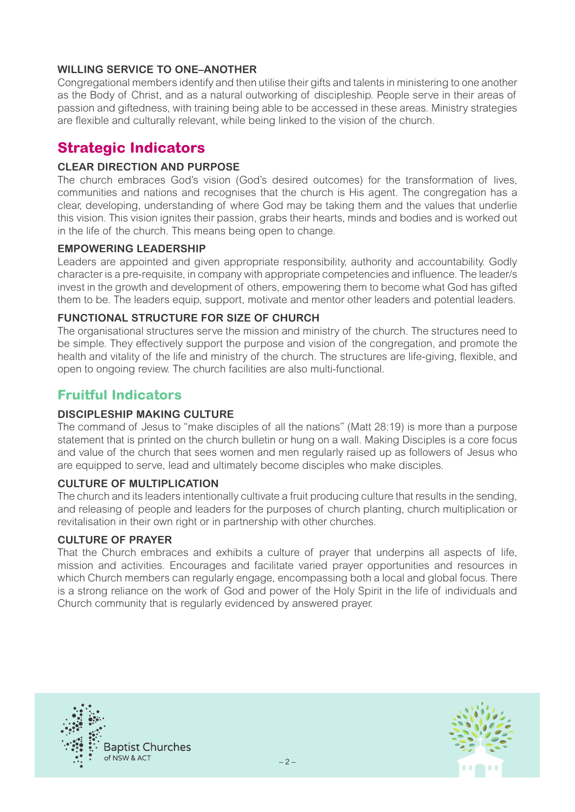#### **WILLING SERVICE TO ONE–ANOTHER**

Congregational members identify and then utilise their gifts and talents in ministering to one another as the Body of Christ, and as a natural outworking of discipleship. People serve in their areas of passion and giftedness, with training being able to be accessed in these areas. Ministry strategies are flexible and culturally relevant, while being linked to the vision of the church.

## **Strategic Indicators**

#### **CLEAR DIRECTION AND PURPOSE**

The church embraces God's vision (God's desired outcomes) for the transformation of lives, communities and nations and recognises that the church is His agent. The congregation has a clear, developing, understanding of where God may be taking them and the values that underlie this vision. This vision ignites their passion, grabs their hearts, minds and bodies and is worked out in the life of the church. This means being open to change.

#### **EMPOWERING LEADERSHIP**

Leaders are appointed and given appropriate responsibility, authority and accountability. Godly character is a pre-requisite, in company with appropriate competencies and influence. The leader/s invest in the growth and development of others, empowering them to become what God has gifted them to be. The leaders equip, support, motivate and mentor other leaders and potential leaders.

#### **FUNCTIONAL STRUCTURE FOR SIZE OF CHURCH**

The organisational structures serve the mission and ministry of the church. The structures need to be simple. They effectively support the purpose and vision of the congregation, and promote the health and vitality of the life and ministry of the church. The structures are life-giving, flexible, and open to ongoing review. The church facilities are also multi-functional.

## **Fruitful Indicators**

#### **DISCIPLESHIP MAKING CULTURE**

The command of Jesus to "make disciples of all the nations" (Matt 28:19) is more than a purpose statement that is printed on the church bulletin or hung on a wall. Making Disciples is a core focus and value of the church that sees women and men regularly raised up as followers of Jesus who are equipped to serve, lead and ultimately become disciples who make disciples.

#### **CULTURE OF MULTIPLICATION**

The church and its leaders intentionally cultivate a fruit producing culture that results in the sending, and releasing of people and leaders for the purposes of church planting, church multiplication or revitalisation in their own right or in partnership with other churches.

#### **CULTURE OF PRAYER**

That the Church embraces and exhibits a culture of prayer that underpins all aspects of life, mission and activities. Encourages and facilitate varied prayer opportunities and resources in which Church members can regularly engage, encompassing both a local and global focus. There is a strong reliance on the work of God and power of the Holy Spirit in the life of individuals and Church community that is regularly evidenced by answered prayer.



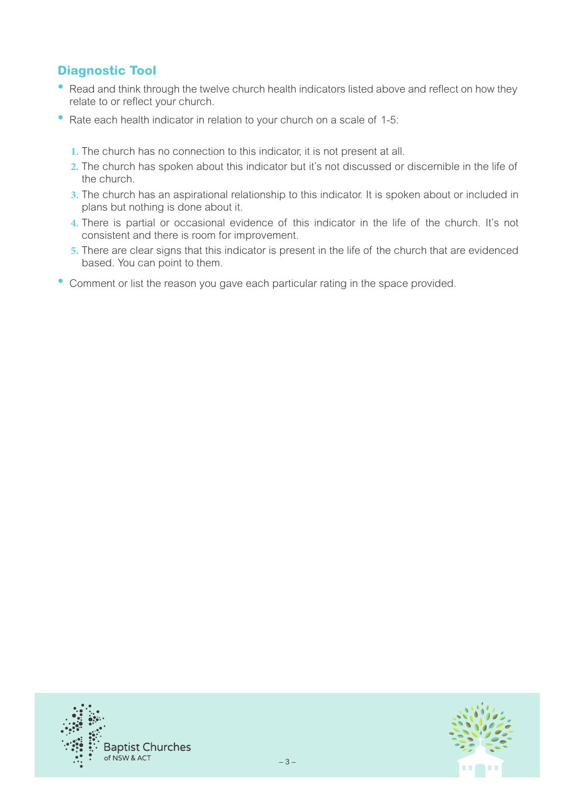## **Diagnostic Tool**

- Read and think through the twelve church health indicators listed above and reflect on how they relate to or reflect your church.
- Rate each health indicator in relation to your church on a scale of 1-5:
	- **1.** The church has no connection to this indicator, it is not present at all.
	- **2.** The church has spoken about this indicator but it's not discussed or discernible in the life of the church.
	- **3.** The church has an aspirational relationship to this indicator. It is spoken about or included in plans but nothing is done about it.
	- **4.** There is partial or occasional evidence of this indicator in the life of the church. It's not consistent and there is room for improvement.
	- **5.** There are clear signs that this indicator is present in the life of the church that are evidenced based. You can point to them.
- Comment or list the reason you gave each particular rating in the space provided.



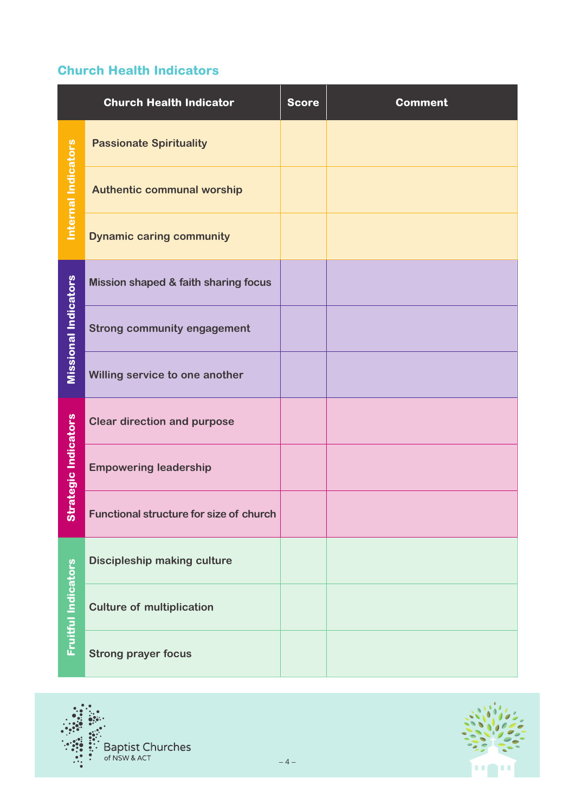## **Church Health Indicators**

|                             | <b>Church Health Indicator</b>                  | <b>Score</b> | <b>Comment</b> |
|-----------------------------|-------------------------------------------------|--------------|----------------|
| Internal Indicators         | <b>Passionate Spirituality</b>                  |              |                |
|                             | <b>Authentic communal worship</b>               |              |                |
|                             | <b>Dynamic caring community</b>                 |              |                |
| <b>Missional Indicators</b> | <b>Mission shaped &amp; faith sharing focus</b> |              |                |
|                             | <b>Strong community engagement</b>              |              |                |
|                             | Willing service to one another                  |              |                |
| Strategic Indicators        | <b>Clear direction and purpose</b>              |              |                |
|                             | <b>Empowering leadership</b>                    |              |                |
|                             | <b>Functional structure for size of church</b>  |              |                |
| <b>Fruitful Indicators</b>  | <b>Discipleship making culture</b>              |              |                |
|                             | <b>Culture of multiplication</b>                |              |                |
|                             | <b>Strong prayer focus</b>                      |              |                |